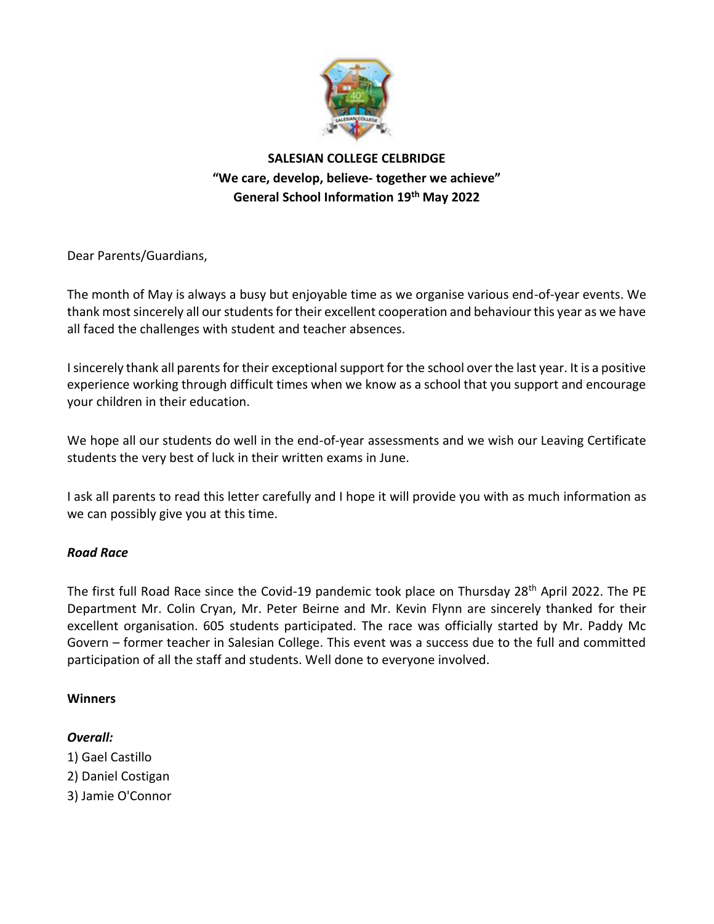

# **SALESIAN COLLEGE CELBRIDGE "We care, develop, believe- together we achieve" General School Information 19th May 2022**

Dear Parents/Guardians,

The month of May is always a busy but enjoyable time as we organise various end-of-year events. We thank most sincerely all our students for their excellent cooperation and behaviour this year as we have all faced the challenges with student and teacher absences.

I sincerely thank all parents for their exceptional support for the school over the last year. It is a positive experience working through difficult times when we know as a school that you support and encourage your children in their education.

We hope all our students do well in the end-of-year assessments and we wish our Leaving Certificate students the very best of luck in their written exams in June.

I ask all parents to read this letter carefully and I hope it will provide you with as much information as we can possibly give you at this time.

# *Road Race*

The first full Road Race since the Covid-19 pandemic took place on Thursday 28th April 2022. The PE Department Mr. Colin Cryan, Mr. Peter Beirne and Mr. Kevin Flynn are sincerely thanked for their excellent organisation. 605 students participated. The race was officially started by Mr. Paddy Mc Govern – former teacher in Salesian College. This event was a success due to the full and committed participation of all the staff and students. Well done to everyone involved.

# **Winners**

# *Overall:*

- 1) Gael Castillo
- 2) Daniel Costigan
- 3) Jamie O'Connor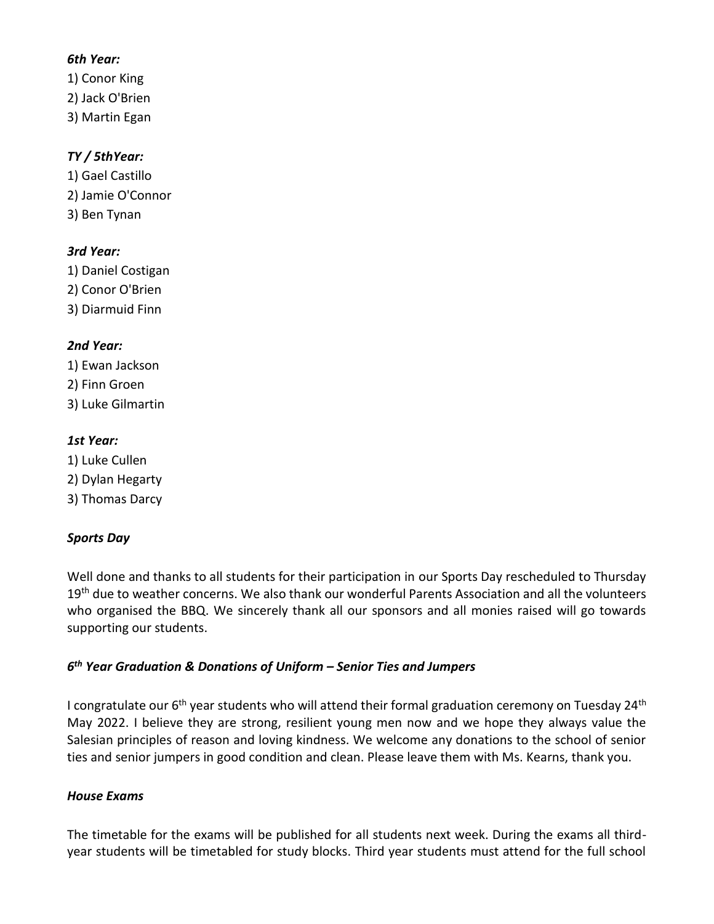### *6th Year:*

1) Conor King 2) Jack O'Brien 3) Martin Egan

# *TY / 5thYear:*

1) Gael Castillo 2) Jamie O'Connor 3) Ben Tynan

# *3rd Year:*

1) Daniel Costigan 2) Conor O'Brien 3) Diarmuid Finn

# *2nd Year:*

1) Ewan Jackson 2) Finn Groen 3) Luke Gilmartin

### *1st Year:*

1) Luke Cullen 2) Dylan Hegarty 3) Thomas Darcy

# *Sports Day*

Well done and thanks to all students for their participation in our Sports Day rescheduled to Thursday 19<sup>th</sup> due to weather concerns. We also thank our wonderful Parents Association and all the volunteers who organised the BBQ. We sincerely thank all our sponsors and all monies raised will go towards supporting our students.

# *6 th Year Graduation & Donations of Uniform – Senior Ties and Jumpers*

I congratulate our 6<sup>th</sup> year students who will attend their formal graduation ceremony on Tuesday 24<sup>th</sup> May 2022. I believe they are strong, resilient young men now and we hope they always value the Salesian principles of reason and loving kindness. We welcome any donations to the school of senior ties and senior jumpers in good condition and clean. Please leave them with Ms. Kearns, thank you.

### *House Exams*

The timetable for the exams will be published for all students next week. During the exams all thirdyear students will be timetabled for study blocks. Third year students must attend for the full school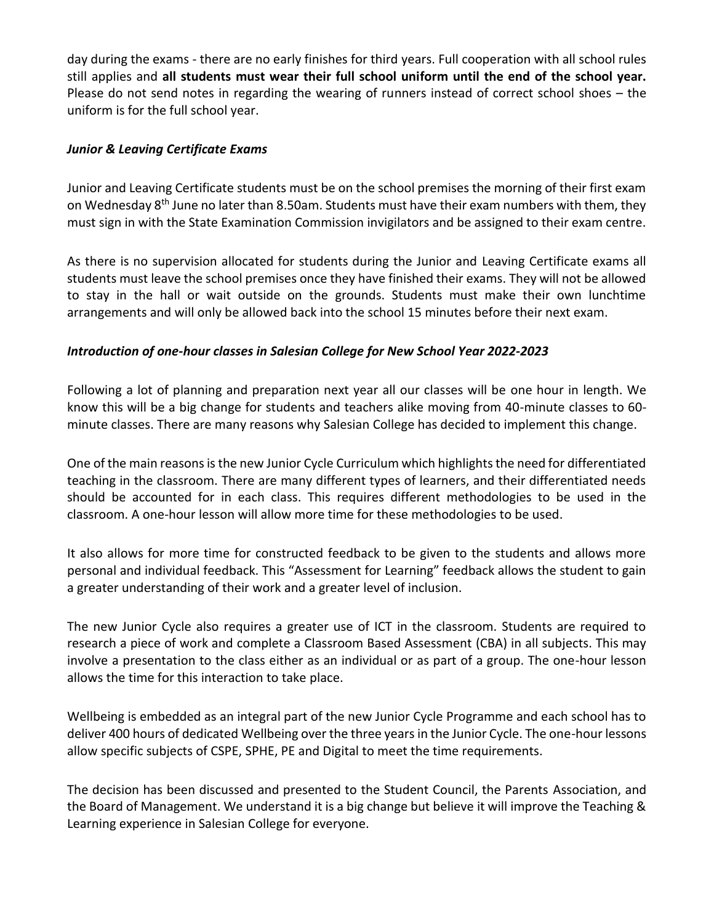day during the exams - there are no early finishes for third years. Full cooperation with all school rules still applies and **all students must wear their full school uniform until the end of the school year.** Please do not send notes in regarding the wearing of runners instead of correct school shoes – the uniform is for the full school year.

### *Junior & Leaving Certificate Exams*

Junior and Leaving Certificate students must be on the school premises the morning of their first exam on Wednesday 8<sup>th</sup> June no later than 8.50am. Students must have their exam numbers with them, they must sign in with the State Examination Commission invigilators and be assigned to their exam centre.

As there is no supervision allocated for students during the Junior and Leaving Certificate exams all students must leave the school premises once they have finished their exams. They will not be allowed to stay in the hall or wait outside on the grounds. Students must make their own lunchtime arrangements and will only be allowed back into the school 15 minutes before their next exam.

### *Introduction of one-hour classes in Salesian College for New School Year 2022-2023*

Following a lot of planning and preparation next year all our classes will be one hour in length. We know this will be a big change for students and teachers alike moving from 40-minute classes to 60 minute classes. There are many reasons why Salesian College has decided to implement this change.

One of the main reasons is the new Junior Cycle Curriculum which highlights the need for differentiated teaching in the classroom. There are many different types of learners, and their differentiated needs should be accounted for in each class. This requires different methodologies to be used in the classroom. A one-hour lesson will allow more time for these methodologies to be used.

It also allows for more time for constructed feedback to be given to the students and allows more personal and individual feedback. This "Assessment for Learning" feedback allows the student to gain a greater understanding of their work and a greater level of inclusion.

The new Junior Cycle also requires a greater use of ICT in the classroom. Students are required to research a piece of work and complete a Classroom Based Assessment (CBA) in all subjects. This may involve a presentation to the class either as an individual or as part of a group. The one-hour lesson allows the time for this interaction to take place.

Wellbeing is embedded as an integral part of the new Junior Cycle Programme and each school has to deliver 400 hours of dedicated Wellbeing over the three years in the Junior Cycle. The one-hour lessons allow specific subjects of CSPE, SPHE, PE and Digital to meet the time requirements.

The decision has been discussed and presented to the Student Council, the Parents Association, and the Board of Management. We understand it is a big change but believe it will improve the Teaching & Learning experience in Salesian College for everyone.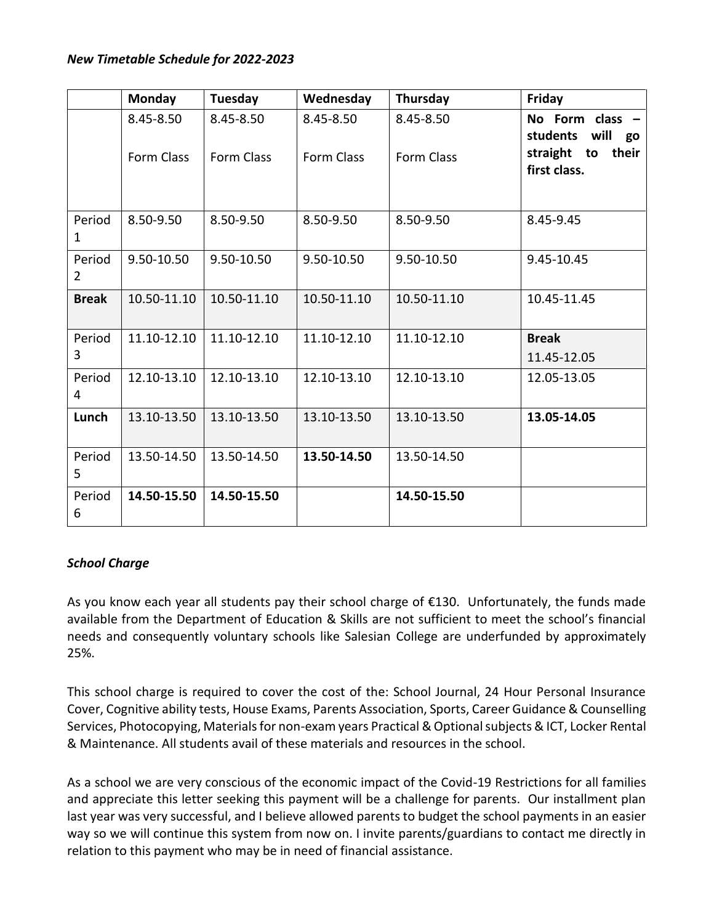#### *New Timetable Schedule for 2022-2023*

|                        | <b>Monday</b> | Tuesday     | Wednesday   | Thursday    | Friday                                    |
|------------------------|---------------|-------------|-------------|-------------|-------------------------------------------|
|                        | 8.45-8.50     | 8.45-8.50   | 8.45-8.50   | 8.45-8.50   | No Form class -<br>will<br>students<br>go |
|                        | Form Class    | Form Class  | Form Class  | Form Class  | their<br>straight to<br>first class.      |
| Period<br>$\mathbf{1}$ | 8.50-9.50     | 8.50-9.50   | 8.50-9.50   | 8.50-9.50   | 8.45-9.45                                 |
| Period<br>2            | 9.50-10.50    | 9.50-10.50  | 9.50-10.50  | 9.50-10.50  | 9.45-10.45                                |
| <b>Break</b>           | 10.50-11.10   | 10.50-11.10 | 10.50-11.10 | 10.50-11.10 | 10.45-11.45                               |
| Period<br>3            | 11.10-12.10   | 11.10-12.10 | 11.10-12.10 | 11.10-12.10 | <b>Break</b><br>11.45-12.05               |
| Period<br>4            | 12.10-13.10   | 12.10-13.10 | 12.10-13.10 | 12.10-13.10 | 12.05-13.05                               |
| Lunch                  | 13.10-13.50   | 13.10-13.50 | 13.10-13.50 | 13.10-13.50 | 13.05-14.05                               |
| Period<br>5            | 13.50-14.50   | 13.50-14.50 | 13.50-14.50 | 13.50-14.50 |                                           |
| Period<br>6            | 14.50-15.50   | 14.50-15.50 |             | 14.50-15.50 |                                           |

# *School Charge*

As you know each year all students pay their school charge of  $\epsilon$ 130. Unfortunately, the funds made available from the Department of Education & Skills are not sufficient to meet the school's financial needs and consequently voluntary schools like Salesian College are underfunded by approximately 25%.

This school charge is required to cover the cost of the: School Journal, 24 Hour Personal Insurance Cover, Cognitive ability tests, House Exams, Parents Association, Sports, Career Guidance & Counselling Services, Photocopying, Materials for non-exam years Practical & Optional subjects & ICT, Locker Rental & Maintenance. All students avail of these materials and resources in the school.

As a school we are very conscious of the economic impact of the Covid-19 Restrictions for all families and appreciate this letter seeking this payment will be a challenge for parents. Our installment plan last year was very successful, and I believe allowed parents to budget the school payments in an easier way so we will continue this system from now on. I invite parents/guardians to contact me directly in relation to this payment who may be in need of financial assistance.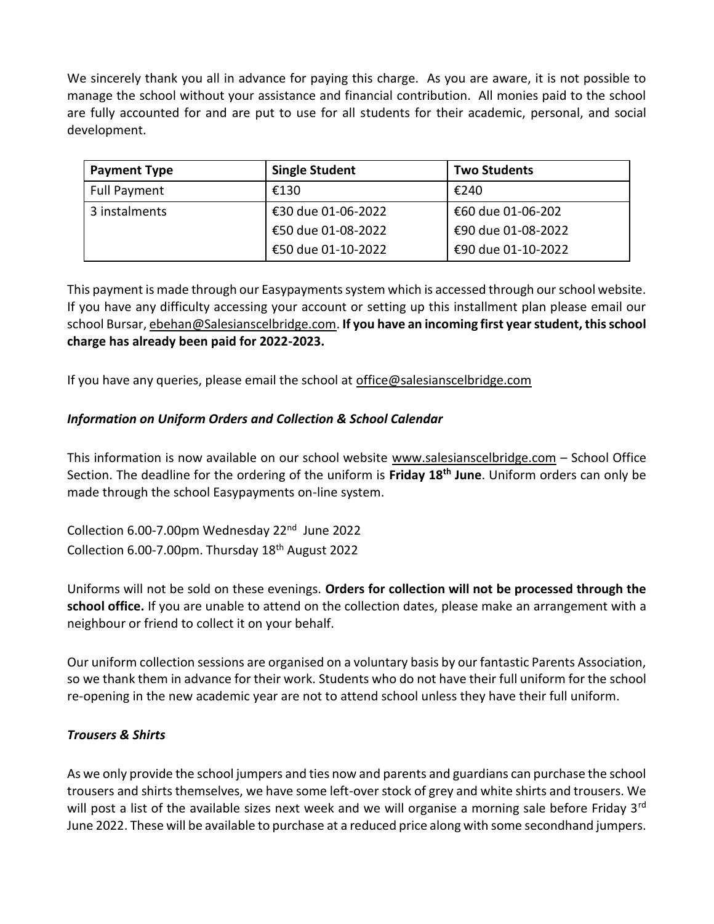We sincerely thank you all in advance for paying this charge. As you are aware, it is not possible to manage the school without your assistance and financial contribution. All monies paid to the school are fully accounted for and are put to use for all students for their academic, personal, and social development.

| <b>Payment Type</b> | <b>Single Student</b> | <b>Two Students</b> |
|---------------------|-----------------------|---------------------|
| Full Payment        | €130                  | €240                |
| 3 instalments       | €30 due 01-06-2022    | €60 due 01-06-202   |
|                     | €50 due 01-08-2022    | €90 due 01-08-2022  |
|                     | €50 due 01-10-2022    | €90 due 01-10-2022  |

This payment is made through our Easypayments system which is accessed through our school website. If you have any difficulty accessing your account or setting up this installment plan please email our school Bursar, [ebehan@Salesianscelbridge.com.](mailto:ebehan@Salesianscelbridge.com) **If you have an incoming first year student, this school charge has already been paid for 2022-2023.**

If you have any queries, please email the school at [office@salesianscelbridge.com](mailto:office@salesianscelbridge.com)

# *Information on Uniform Orders and Collection & School Calendar*

This information is now available on our school website [www.salesianscelbridge.com](http://www.salesianscelbridge.com/) – School Office Section. The deadline for the ordering of the uniform is **Friday 18th June**. Uniform orders can only be made through the school Easypayments on-line system.

Collection 6.00-7.00pm Wednesday 22<sup>nd</sup> June 2022 Collection 6.00-7.00pm. Thursday  $18<sup>th</sup>$  August 2022

Uniforms will not be sold on these evenings. **Orders for collection will not be processed through the school office.** If you are unable to attend on the collection dates, please make an arrangement with a neighbour or friend to collect it on your behalf.

Our uniform collection sessions are organised on a voluntary basis by our fantastic Parents Association, so we thank them in advance for their work. Students who do not have their full uniform for the school re-opening in the new academic year are not to attend school unless they have their full uniform.

# *Trousers & Shirts*

As we only provide the school jumpers and ties now and parents and guardians can purchase the school trousers and shirts themselves, we have some left-over stock of grey and white shirts and trousers. We will post a list of the available sizes next week and we will organise a morning sale before Friday 3<sup>rd</sup> June 2022. These will be available to purchase at a reduced price along with some secondhand jumpers.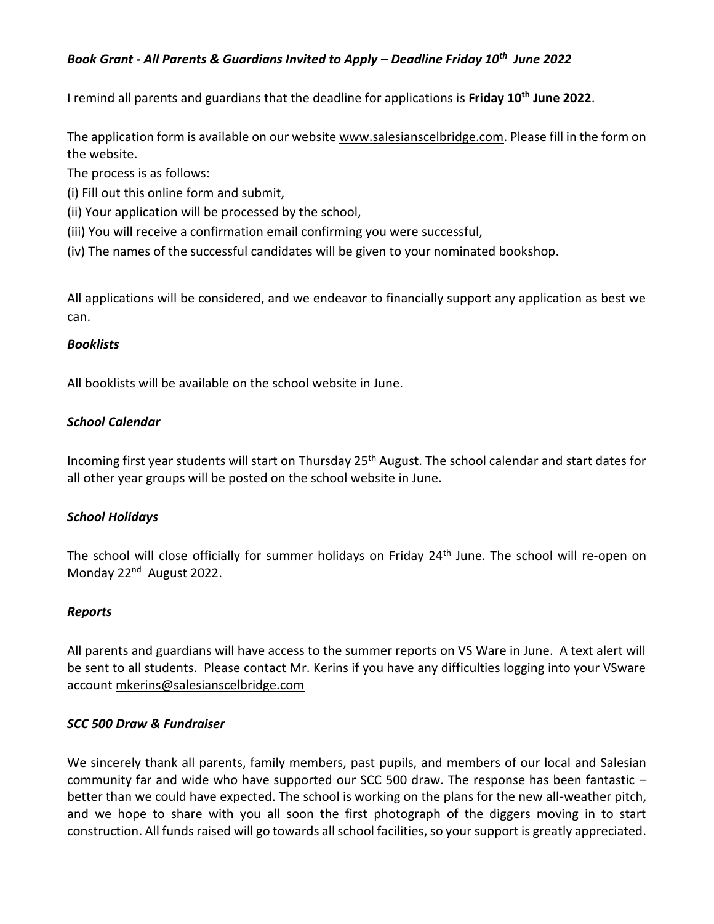### *Book Grant - All Parents & Guardians Invited to Apply – Deadline Friday 10th June 2022*

I remind all parents and guardians that the deadline for applications is **Friday 10th June 2022**.

The application form is available on our website [www.salesianscelbridge.com.](http://www.salesianscelbridge.com/) Please fill in the form on the website.

The process is as follows:

- (i) Fill out this online form and submit,
- (ii) Your application will be processed by the school,
- (iii) You will receive a confirmation email confirming you were successful,
- (iv) The names of the successful candidates will be given to your nominated bookshop.

All applications will be considered, and we endeavor to financially support any application as best we can.

### *Booklists*

All booklists will be available on the school website in June.

### *School Calendar*

Incoming first year students will start on Thursday 25<sup>th</sup> August. The school calendar and start dates for all other year groups will be posted on the school website in June.

# *School Holidays*

The school will close officially for summer holidays on Friday 24<sup>th</sup> June. The school will re-open on Monday 22<sup>nd</sup> August 2022.

### *Reports*

All parents and guardians will have access to the summer reports on VS Ware in June. A text alert will be sent to all students. Please contact Mr. Kerins if you have any difficulties logging into your VSware account mkerins@salesianscelbridge.com

### *SCC 500 Draw & Fundraiser*

We sincerely thank all parents, family members, past pupils, and members of our local and Salesian community far and wide who have supported our SCC 500 draw. The response has been fantastic – better than we could have expected. The school is working on the plans for the new all-weather pitch, and we hope to share with you all soon the first photograph of the diggers moving in to start construction. All funds raised will go towards all school facilities, so your support is greatly appreciated.